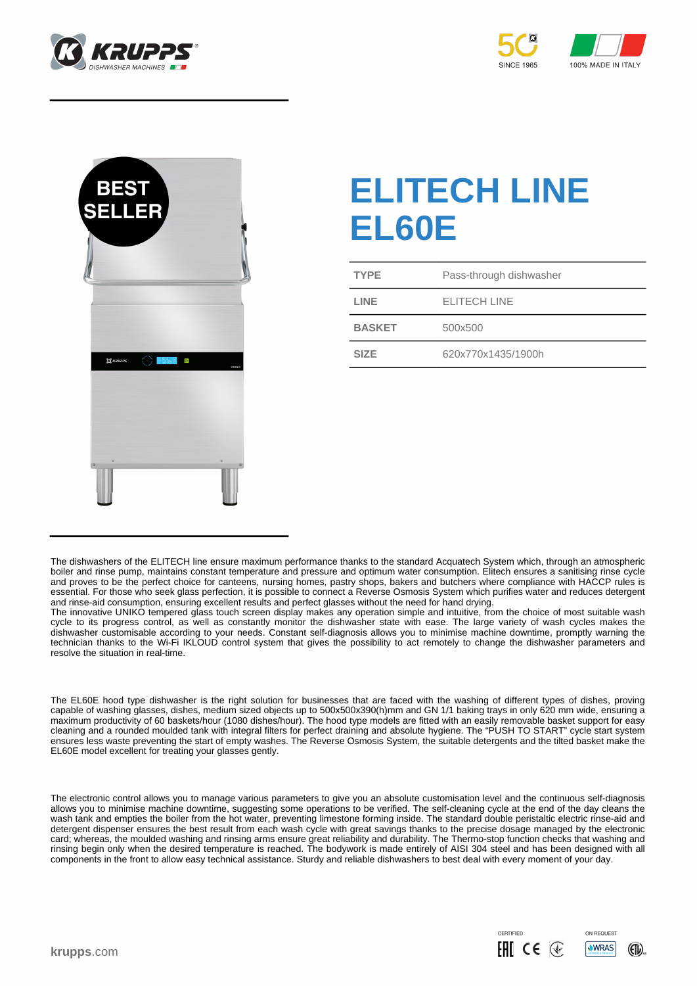





## **ELITECH LINE EL60E**

| <b>TYPE</b>   | Pass-through dishwasher |
|---------------|-------------------------|
| LINE          | <b>ELITECH LINE</b>     |
| <b>BASKET</b> | 500x500                 |
| <b>SIZE</b>   | 620x770x1435/1900h      |

The EL60E hood type dishwasher is the right solution for businesses that are faced with the washing of different types of dishes, proving capable of washing glasses, dishes, medium sized objects up to 500x500x390(h)mm and GN 1/1 baking trays in only 620 mm wide, ensuring a maximum productivity of 60 baskets/hour (1080 dishes/hour). The hood type models are fitted with an easily removable basket support for easy cleaning and a rounded moulded tank with integral filters for perfect draining and absolute hygiene. The "PUSH TO START" cycle start system ensures less waste preventing the start of empty washes. The Reverse Osmosis System, the suitable detergents and the tilted basket make the EL60E model excellent for treating your glasses gently.

The electronic control allows you to manage various parameters to give you an absolute customisation level and the continuous self-diagnosis allows you to minimise machine downtime, suggesting some operations to be verified. The self-cleaning cycle at the end of the day cleans the wash tank and empties the boiler from the hot water, preventing limestone forming inside. The standard double peristaltic electric rinse-aid and detergent dispenser ensures the best result from each wash cycle with great savings thanks to the precise dosage managed by the electronic card; whereas, the moulded washing and rinsing arms ensure great reliability and durability. The Thermo-stop function checks that washing and rinsing begin only when the desired temperature is reached. The bodywork is made entirely of AISI 304 steel and has been designed with all components in the front to allow easy technical assistance. Sturdy and reliable dishwashers to best deal with every moment of your day.



The dishwashers of the ELITECH line ensure maximum performance thanks to the standard Acquatech System which, through an atmospheric boiler and rinse pump, maintains constant temperature and pressure and optimum water consumption. Elitech ensures a sanitising rinse cycle and proves to be the perfect choice for canteens, nursing homes, pastry shops, bakers and butchers where compliance with HACCP rules is essential. For those who seek glass perfection, it is possible to connect a Reverse Osmosis System which purifies water and reduces detergent and rinse-aid consumption, ensuring excellent results and perfect glasses without the need for hand drying.

The innovative UNIKO tempered glass touch screen display makes any operation simple and intuitive, from the choice of most suitable wash cycle to its progress control, as well as constantly monitor the dishwasher state with ease. The large variety of wash cycles makes the dishwasher customisable according to your needs. Constant self-diagnosis allows you to minimise machine downtime, promptly warning the technician thanks to the Wi-Fi IKLOUD control system that gives the possibility to act remotely to change the dishwasher parameters and resolve the situation in real-time.